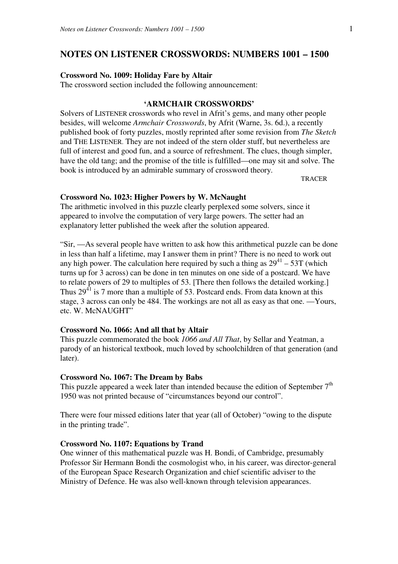## **NOTES ON LISTENER CROSSWORDS: NUMBERS 1001 – 1500**

### **Crossword No. 1009: Holiday Fare by Altair**

The crossword section included the following announcement:

## **'ARMCHAIR CROSSWORDS'**

Solvers of LISTENER crosswords who revel in Afrit's gems, and many other people besides, will welcome *Armchair Crosswords*, by Afrit (Warne, 3s. 6d.), a recently published book of forty puzzles, mostly reprinted after some revision from *The Sketch*  and THE LISTENER. They are not indeed of the stern older stuff, but nevertheless are full of interest and good fun, and a source of refreshment. The clues, though simpler, have the old tang; and the promise of the title is fulfilled—one may sit and solve. The book is introduced by an admirable summary of crossword theory.

TRACER

## **Crossword No. 1023: Higher Powers by W. McNaught**

The arithmetic involved in this puzzle clearly perplexed some solvers, since it appeared to involve the computation of very large powers. The setter had an explanatory letter published the week after the solution appeared.

"Sir, —As several people have written to ask how this arithmetical puzzle can be done in less than half a lifetime, may I answer them in print? There is no need to work out any high power. The calculation here required by such a thing as  $29^{41} - 53T$  (which turns up for 3 across) can be done in ten minutes on one side of a postcard. We have to relate powers of 29 to multiples of 53. [There then follows the detailed working.] Thus  $29<sup>41</sup>$  is 7 more than a multiple of 53. Postcard ends. From data known at this stage, 3 across can only be 484. The workings are not all as easy as that one. —Yours, etc. W. McNAUGHT"

### **Crossword No. 1066: And all that by Altair**

This puzzle commemorated the book *1066 and All That*, by Sellar and Yeatman, a parody of an historical textbook, much loved by schoolchildren of that generation (and later).

## **Crossword No. 1067: The Dream by Babs**

This puzzle appeared a week later than intended because the edition of September  $7<sup>th</sup>$ 1950 was not printed because of "circumstances beyond our control".

There were four missed editions later that year (all of October) "owing to the dispute in the printing trade".

## **Crossword No. 1107: Equations by Trand**

One winner of this mathematical puzzle was H. Bondi, of Cambridge, presumably Professor Sir Hermann Bondi the cosmologist who, in his career, was director-general of the European Space Research Organization and chief scientific adviser to the Ministry of Defence. He was also well-known through television appearances.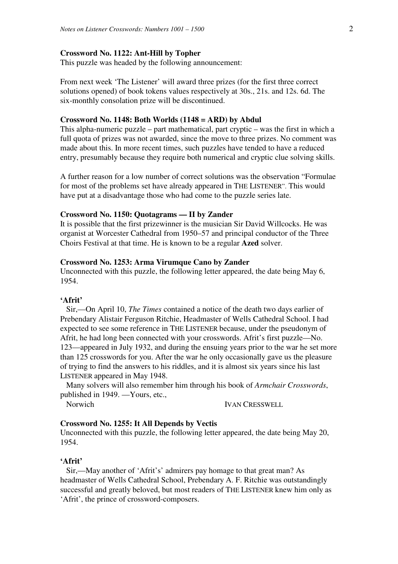### **Crossword No. 1122: Ant-Hill by Topher**

This puzzle was headed by the following announcement:

From next week 'The Listener' will award three prizes (for the first three correct solutions opened) of book tokens values respectively at 30s., 21s. and 12s. 6d. The six-monthly consolation prize will be discontinued.

### **Crossword No. 1148: Both Worlds (1148 = ARD) by Abdul**

This alpha-numeric puzzle – part mathematical, part cryptic – was the first in which a full quota of prizes was not awarded, since the move to three prizes. No comment was made about this. In more recent times, such puzzles have tended to have a reduced entry, presumably because they require both numerical and cryptic clue solving skills.

A further reason for a low number of correct solutions was the observation "Formulae for most of the problems set have already appeared in THE LISTENER". This would have put at a disadvantage those who had come to the puzzle series late.

#### **Crossword No. 1150: Quotagrams — II by Zander**

It is possible that the first prizewinner is the musician Sir David Willcocks. He was organist at Worcester Cathedral from 1950–57 and principal conductor of the Three Choirs Festival at that time. He is known to be a regular **Azed** solver.

### **Crossword No. 1253: Arma Virumque Cano by Zander**

Unconnected with this puzzle, the following letter appeared, the date being May 6, 1954.

## **'Afrit'**

 Sir,—On April 10, *The Times* contained a notice of the death two days earlier of Prebendary Alistair Ferguson Ritchie, Headmaster of Wells Cathedral School. I had expected to see some reference in THE LISTENER because, under the pseudonym of Afrit, he had long been connected with your crosswords. Afrit's first puzzle—No. 123—appeared in July 1932, and during the ensuing years prior to the war he set more than 125 crosswords for you. After the war he only occasionally gave us the pleasure of trying to find the answers to his riddles, and it is almost six years since his last LISTENER appeared in May 1948.

 Many solvers will also remember him through his book of *Armchair Crosswords*, published in 1949. —Yours, etc.,

Norwich IVAN CRESSWELL

# **Crossword No. 1255: It All Depends by Vectis**

Unconnected with this puzzle, the following letter appeared, the date being May 20, 1954.

### **'Afrit'**

 Sir,—May another of 'Afrit's' admirers pay homage to that great man? As headmaster of Wells Cathedral School, Prebendary A. F. Ritchie was outstandingly successful and greatly beloved, but most readers of THE LISTENER knew him only as 'Afrit', the prince of crossword-composers.